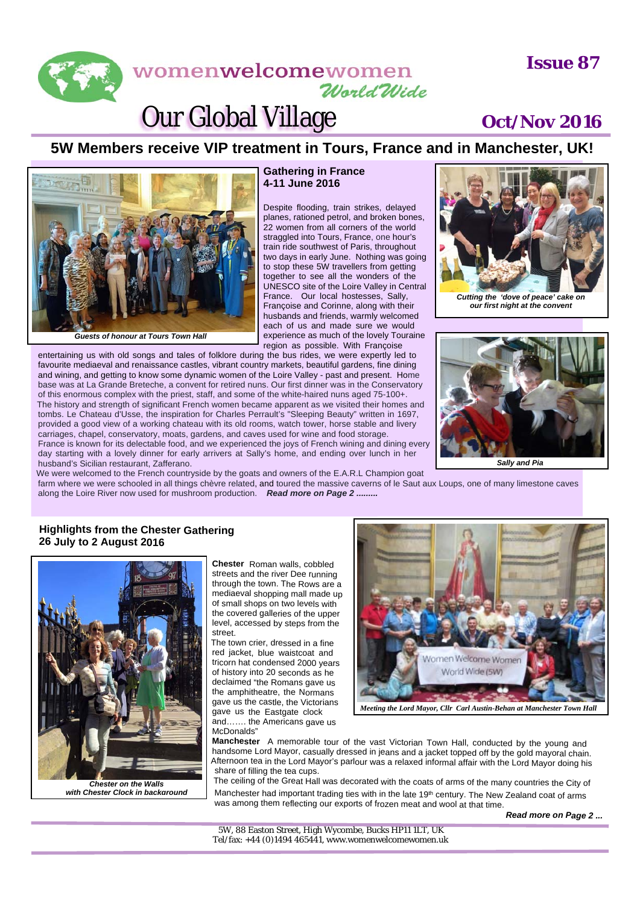## **Issue 87**

# womenwelcomewomen World Wide

# Our Global Village **Oct/Nov 2016**

*Cutting the 'dove of peace' cake on our first night at the convent*

*Sally and Pia*



planes, rationed petrol, and broken bones, 22 women from all corners of the world straggled into Tours, France, one hour's train ride southwest of Paris, throughout two days in early June. Nothing was going to stop these 5W travellers from getting together to see all the wonders of the UNESCO site of the Loire Valley in Central France. Our local hostesses, Sally, Françoise and Corinne, along with their husbands and friends, warmly welcomed each of us and made sure we would experience as much of the lovely Touraine region as possible. With Françoise

entertaining us with old songs and tales of folklore during the bus rides, we were expertly led to favourite mediaeval and renaissance castles, vibrant country markets, beautiful gardens, fine dining and wining, and getting to know some dynamic women of the Loire Valley - past and present. Home base was at La Grande Breteche, a convent for retired nuns. Our first dinner was in the Conservatory of this enormous complex with the priest, staff, and some of the white-haired nuns aged 75-100+. The history and strength of significant French women became apparent as we visited their homes and tombs. Le Chateau d'Usse, the inspiration for Charles Perrault's "Sleeping Beauty" written in 1697, provided a good view of a working chateau with its old rooms, watch tower, horse stable and livery carriages, chapel, conservatory, moats, gardens, and caves used for wine and food storage. France is known for its delectable food, and we experienced the joys of French wining and dining every day starting with a lovely dinner for early arrivers at Sally's home, and ending over lunch in her husband's Sicilian restaurant, Zafferano.

We were welcomed to the French countryside by the goats and owners of the E.A.R.L Champion goat

farm where we were schooled in all things chèvre related, and toured the massive caverns of le Saut aux Loups, one of many limestone caves along the Loire River now used for mushroom production. *Read more on Page 2 .........*

## **Highlights from the Chester Gathering 26 July to 2 August 2016**

*Guests of honour at Tours Town Hall*



*with Chester Clock in background*

**Chester** Roman walls, cobbled streets and the river Dee running through the town. The Rows are <sup>a</sup> mediaeval shopping mall made up of small shops on two levels with the covered galleries of the upper level, accessed by steps from the street.

The town crier, dressed in <sup>a</sup> fine red jacket, blue waistcoat and tricorn hat condensed 2000 years of history into 20 seconds as he declaimed "the Romans gave us the amphitheatre, the Normans gave us the castle, the Victorians gave us the Eastgate clock and……. the Americans gave us McDonalds"



*Meeting the Lord Mayor, Cllr Carl Austin-Behan at Manchester Town Hall*

**Manchester** <sup>A</sup> memorable tour of the vast Victorian Town Hall, conducted by the young and handsome Lord Mayor, casually dressed in jeans and <sup>a</sup> jacket topped off by the gold mayoral chain. Afternoon tea in the Lord Mayor's parlour was <sup>a</sup> relaxed informal affair with the Lord Mayor doing his share of filling the tea cups.

The ceiling of the Great Hall was decorated with the coats of arms of the many countries the City of Manchester had important trading ties with in the late 19<sup>th</sup> century. The New Zealand coat of arms was among them reflecting our exports of frozen meat and wool at that time.

*Read more on Page 2 ...*

5W, 88 Easton Street, High Wycombe, Bucks HP11 1LT, UK Tel/fax: +44 (0)1494 465441, www.womenwelcomewomen.uk